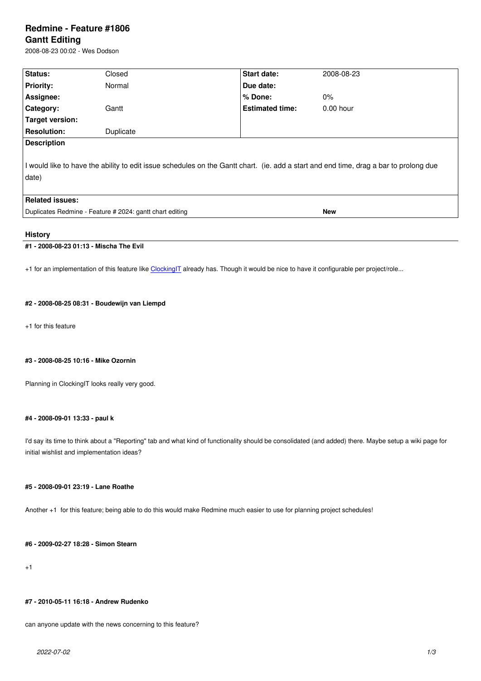#### **Gantt Editing**

2008-08-23 00:02 - Wes Dodson

| Status:                                                                                                                                        | Closed    | Start date:            | 2008-08-23  |  |
|------------------------------------------------------------------------------------------------------------------------------------------------|-----------|------------------------|-------------|--|
| <b>Priority:</b>                                                                                                                               | Normal    | Due date:              |             |  |
| Assignee:                                                                                                                                      |           | $%$ Done:              | $0\%$       |  |
| Category:                                                                                                                                      | Gantt     | <b>Estimated time:</b> | $0.00$ hour |  |
| Target version:                                                                                                                                |           |                        |             |  |
| <b>Resolution:</b>                                                                                                                             | Duplicate |                        |             |  |
| <b>Description</b>                                                                                                                             |           |                        |             |  |
| I would like to have the ability to edit issue schedules on the Gantt chart. (ie. add a start and end time, drag a bar to prolong due<br>date) |           |                        |             |  |
| <b>Related issues:</b>                                                                                                                         |           |                        |             |  |
| Duplicates Redmine - Feature # 2024: gantt chart editing                                                                                       |           |                        | <b>New</b>  |  |

# **History**

# **#1 - 2008-08-23 01:13 - Mischa The Evil**

+1 for an implementation of this feature like ClockingIT already has. Though it would be nice to have it configurable per project/role...

## **#2 - 2008-08-25 08:31 - Boudewijn van Li[empd](http://wiki.clockingit.com/start)**

+1 for this feature

## **#3 - 2008-08-25 10:16 - Mike Ozornin**

Planning in ClockingIT looks really very good.

## **#4 - 2008-09-01 13:33 - paul k**

I'd say its time to think about a "Reporting" tab and what kind of functionality should be consolidated (and added) there. Maybe setup a wiki page for initial wishlist and implementation ideas?

#### **#5 - 2008-09-01 23:19 - Lane Roathe**

Another +1 for this feature; being able to do this would make Redmine much easier to use for planning project schedules!

## **#6 - 2009-02-27 18:28 - Simon Stearn**

+1

## **#7 - 2010-05-11 16:18 - Andrew Rudenko**

can anyone update with the news concerning to this feature?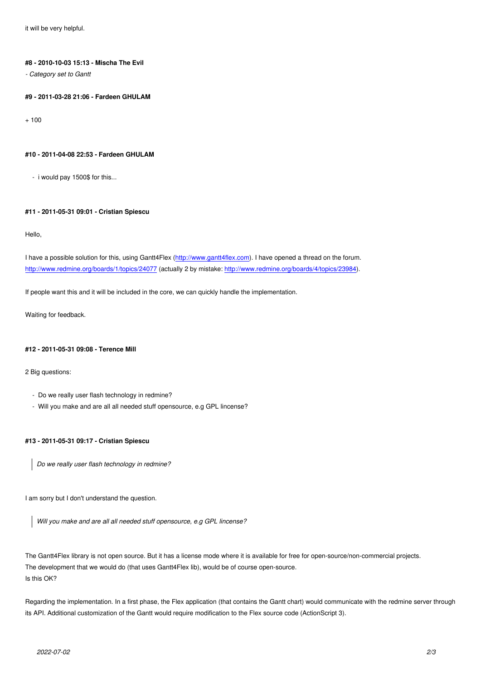## **#8 - 2010-10-03 15:13 - Mischa The Evil**

*- Category set to Gantt*

## **#9 - 2011-03-28 21:06 - Fardeen GHULAM**

 $+ 100$ 

#### **#10 - 2011-04-08 22:53 - Fardeen GHULAM**

- i would pay 1500\$ for this...

## **#11 - 2011-05-31 09:01 - Cristian Spiescu**

Hello,

I have a possible solution for this, using Gantt4Flex (http://www.gantt4flex.com). I have opened a thread on the forum. http://www.redmine.org/boards/1/topics/24077 (actually 2 by mistake: http://www.redmine.org/boards/4/topics/23984).

If people want this and it will be included in the core, [we can quickly handle the](http://www.gantt4flex.com) implementation.

[Waiting for feedback.](http://www.redmine.org/boards/1/topics/24077)

#### **#12 - 2011-05-31 09:08 - Terence Mill**

2 Big questions:

- Do we really user flash technology in redmine?
- Will you make and are all all needed stuff opensource, e.g GPL lincense?

## **#13 - 2011-05-31 09:17 - Cristian Spiescu**

*Do we really user flash technology in redmine?*

I am sorry but I don't understand the question.

*Will you make and are all all needed stuff opensource, e.g GPL lincense?*

The Gantt4Flex library is not open source. But it has a license mode where it is available for free for open-source/non-commercial projects. The development that we would do (that uses Gantt4Flex lib), would be of course open-source. Is this OK?

Regarding the implementation. In a first phase, the Flex application (that contains the Gantt chart) would communicate with the redmine server through its API. Additional customization of the Gantt would require modification to the Flex source code (ActionScript 3).